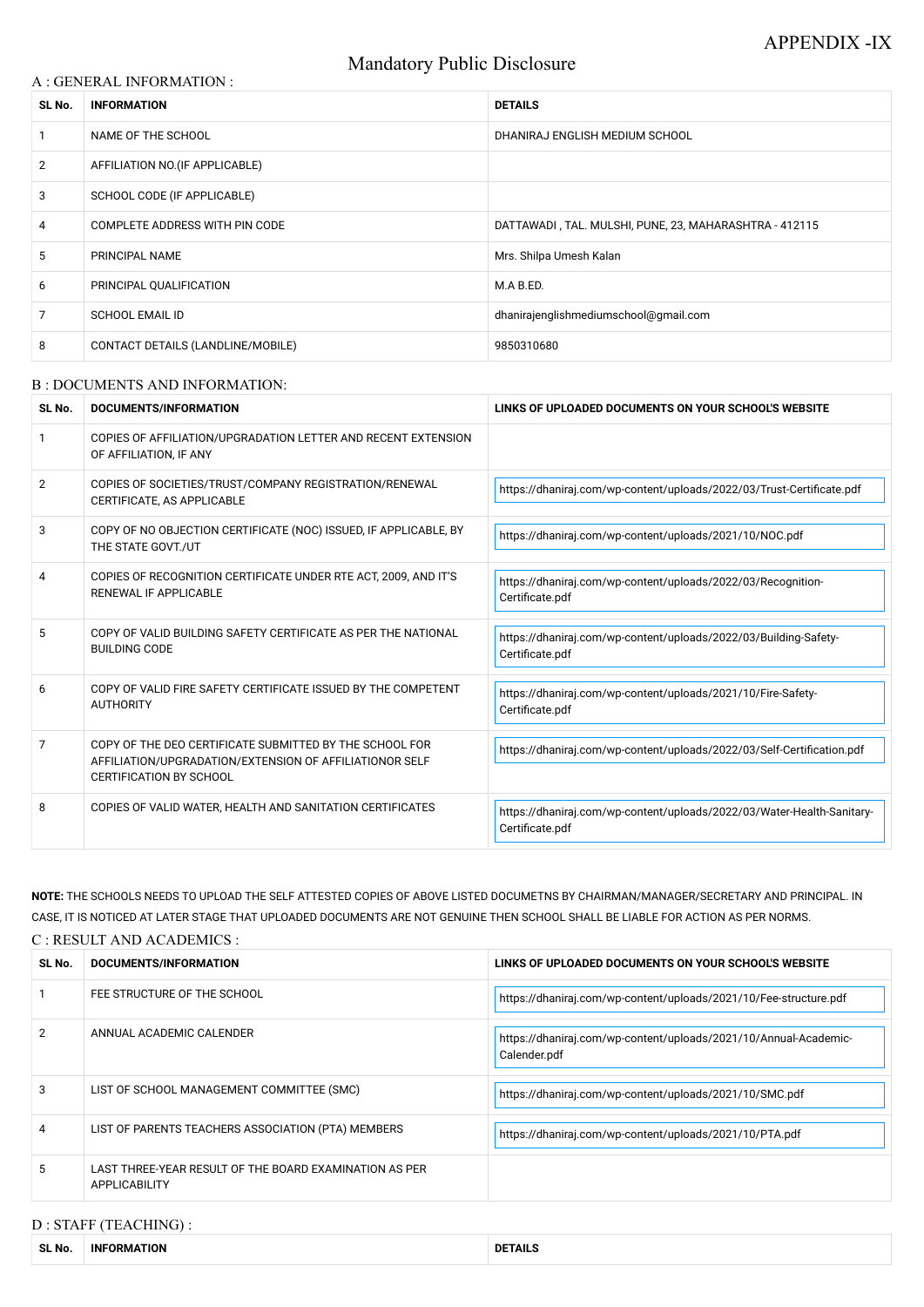# Mandatory Public Disclosure

#### A : GENERAL INFORMATION :

| SL No.         | <b>INFORMATION</b>                | <b>DETAILS</b>                                         |  |
|----------------|-----------------------------------|--------------------------------------------------------|--|
|                | NAME OF THE SCHOOL                | DHANIRAJ ENGLISH MEDIUM SCHOOL                         |  |
| $\overline{2}$ | AFFILIATION NO. (IF APPLICABLE)   |                                                        |  |
| 3              | SCHOOL CODE (IF APPLICABLE)       |                                                        |  |
| 4              | COMPLETE ADDRESS WITH PIN CODE    | DATTAWADI, TAL. MULSHI, PUNE, 23, MAHARASHTRA - 412115 |  |
| 5              | PRINCIPAL NAME                    | Mrs. Shilpa Umesh Kalan                                |  |
| 6              | PRINCIPAL QUALIFICATION           | M.A B.ED.                                              |  |
| 7              | <b>SCHOOL EMAIL ID</b>            | dhanirajenglishmediumschool@gmail.com                  |  |
| 8              | CONTACT DETAILS (LANDLINE/MOBILE) | 9850310680                                             |  |

#### B : DOCUMENTS AND INFORMATION:

| SL No.         | DOCUMENTS/INFORMATION                                                                                                                                | LINKS OF UPLOADED DOCUMENTS ON YOUR SCHOOL'S WEBSITE                                      |  |
|----------------|------------------------------------------------------------------------------------------------------------------------------------------------------|-------------------------------------------------------------------------------------------|--|
|                | COPIES OF AFFILIATION/UPGRADATION LETTER AND RECENT EXTENSION<br>OF AFFILIATION, IF ANY                                                              |                                                                                           |  |
| $\overline{2}$ | COPIES OF SOCIETIES/TRUST/COMPANY REGISTRATION/RENEWAL<br>CERTIFICATE, AS APPLICABLE                                                                 | https://dhaniraj.com/wp-content/uploads/2022/03/Trust-Certificate.pdf                     |  |
| 3              | COPY OF NO OBJECTION CERTIFICATE (NOC) ISSUED, IF APPLICABLE, BY<br>THE STATE GOVT./UT                                                               | https://dhaniraj.com/wp-content/uploads/2021/10/NOC.pdf                                   |  |
| 4              | COPIES OF RECOGNITION CERTIFICATE UNDER RTE ACT, 2009, AND IT'S<br><b>RENEWAL IF APPLICABLE</b>                                                      | https://dhaniraj.com/wp-content/uploads/2022/03/Recognition-<br>Certificate.pdf           |  |
| 5              | COPY OF VALID BUILDING SAFETY CERTIFICATE AS PER THE NATIONAL<br><b>BUILDING CODE</b>                                                                | https://dhaniraj.com/wp-content/uploads/2022/03/Building-Safety-<br>Certificate.pdf       |  |
| 6              | COPY OF VALID FIRE SAFETY CERTIFICATE ISSUED BY THE COMPETENT<br><b>AUTHORITY</b>                                                                    | https://dhaniraj.com/wp-content/uploads/2021/10/Fire-Safety-<br>Certificate.pdf           |  |
| 7              | COPY OF THE DEO CERTIFICATE SUBMITTED BY THE SCHOOL FOR<br>AFFILIATION/UPGRADATION/EXTENSION OF AFFILIATIONOR SELF<br><b>CERTIFICATION BY SCHOOL</b> | https://dhaniraj.com/wp-content/uploads/2022/03/Self-Certification.pdf                    |  |
| 8              | COPIES OF VALID WATER, HEALTH AND SANITATION CERTIFICATES                                                                                            | https://dhaniraj.com/wp-content/uploads/2022/03/Water-Health-Sanitary-<br>Certificate.pdf |  |

|    | FEE STRUCTURE OF THE SCHOOL                                             | https://dhaniraj.com/wp-content/uploads/2021/10/Fee-structure.pdf                |
|----|-------------------------------------------------------------------------|----------------------------------------------------------------------------------|
| 2  | ANNUAL ACADEMIC CALENDER                                                | https://dhaniraj.com/wp-content/uploads/2021/10/Annual-Academic-<br>Calender.pdf |
| 3  | LIST OF SCHOOL MANAGEMENT COMMITTEE (SMC)                               | https://dhaniraj.com/wp-content/uploads/2021/10/SMC.pdf                          |
| 4  | LIST OF PARENTS TEACHERS ASSOCIATION (PTA) MEMBERS                      | https://dhaniraj.com/wp-content/uploads/2021/10/PTA.pdf                          |
| 5. | LAST THREE-YEAR RESULT OF THE BOARD EXAMINATION AS PER<br>APPLICABILITY |                                                                                  |

**NOTE:** THE SCHOOLS NEEDS TO UPLOAD THE SELF ATTESTED COPIES OF ABOVE LISTED DOCUMETNS BY CHAIRMAN/MANAGER/SECRETARY AND PRINCIPAL. IN CASE, IT IS NOTICED AT LATER STAGE THAT UPLOADED DOCUMENTS ARE NOT GENUINE THEN SCHOOL SHALL BE LIABLE FOR ACTION AS PER NORMS.

C : RESULT AND ACADEMICS :

| SL No. | DOCUMENTS/INFORMATION | LINKS OF UPLOADED DOCUMENTS ON YOUR SCHOOL'S WEBSITE |
|--------|-----------------------|------------------------------------------------------|
|        |                       |                                                      |

# D : STAFF (TEACHING) :

| <b>SL No</b> | IN<br>TION<br>·ORMA⊺ | .<br>DI<br>: IAILS |
|--------------|----------------------|--------------------|
|              |                      |                    |